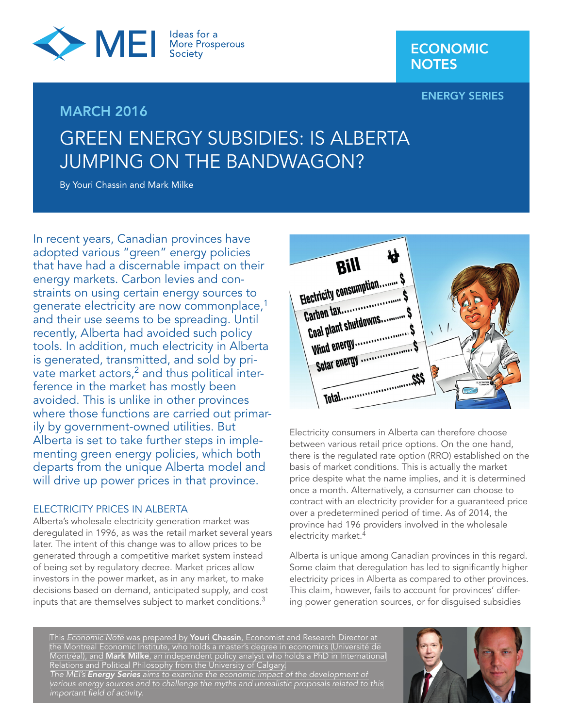

### **ENERGY SERIES**

# GREEN ENERGY SUBSIDIES: IS ALBERTA JUMPING ON THE BANDWAGON?

By Youri Chassin and Mark Milke

**MARCH 2016**

In recent years, Canadian provinces have adopted various "green" energy policies that have had a discernable impact on their energy markets. Carbon levies and constraints on using certain energy sources to generate electricity are now commonplace,<sup>1</sup> and their use seems to be spreading. Until recently, Alberta had avoided such policy tools. In addition, much electricity in Alberta is generated, transmitted, and sold by private market actors,<sup>2</sup> and thus political interference in the market has mostly been avoided. This is unlike in other provinces where those functions are carried out primarily by government-owned utilities. But Alberta is set to take further steps in implementing green energy policies, which both departs from the unique Alberta model and will drive up power prices in that province.

#### ELECTRICITY PRICES IN ALBERTA

Alberta's wholesale electricity generation market was deregulated in 1996, as was the retail market several years later. The intent of this change was to allow prices to be generated through a competitive market system instead of being set by regulatory decree. Market prices allow investors in the power market, as in any market, to make decisions based on demand, anticipated supply, and cost inputs that are themselves subject to market conditions.3



Electricity consumers in Alberta can therefore choose between various retail price options. On the one hand, there is the regulated rate option (RRO) established on the basis of market conditions. This is actually the market price despite what the name implies, and it is determined once a month. Alternatively, a consumer can choose to contract with an electricity provider for a guaranteed price over a predetermined period of time. As of 2014, the province had 196 providers involved in the wholesale electricity market.<sup>4</sup>

Alberta is unique among Canadian provinces in this regard. Some claim that deregulation has led to significantly higher electricity prices in Alberta as compared to other provinces. This claim, however, fails to account for provinces' differing power generation sources, or for disguised subsidies

This Economic Note was prepared by **Youri Chassin**, Economist and Research Director at the Montreal Economic Institute, who holds a master's degree in economics (Université de Montréal), and **Mark Milke**, an independent policy analyst who holds a PhD in International Relations and Political Philosophy from the University of Calgary. The MEI's *Energy Series* aims to examine the economic impact of the development of various energy sources and to challenge the myths and unrealistic proposals related to this important field of activity.

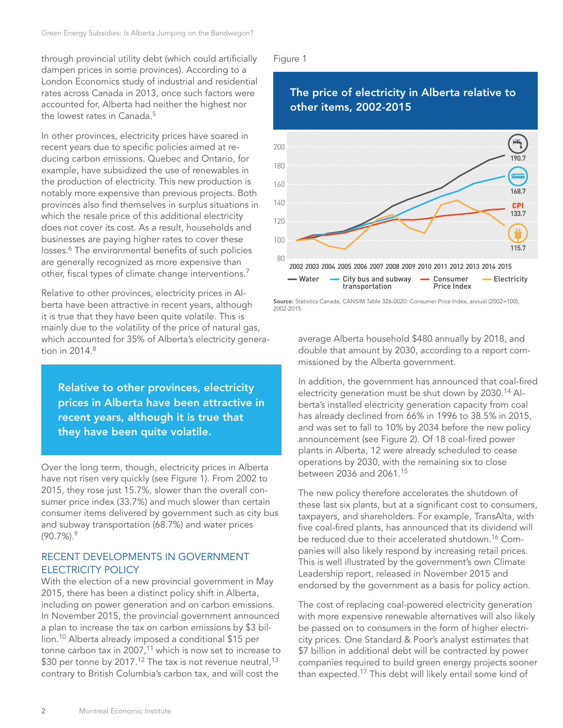through provincial utility debt (which could artificially dampen prices in some provinces). According to a London Economics study of industrial and residential rates across Canada in 2013, once such factors were accounted for, Alberta had neither the highest nor the lowest rates in Canada.<sup>5</sup>

In other provinces, electricity prices have soared in recent years due to specific policies aimed at reducing carbon emissions. Quebec and Ontario, for example, have subsidized the use of renewables in the production of electricity. This new production is notably more expensive than previous projects. Both provinces also find themselves in surplus situations in which the resale price of this additional electricity does not cover its cost. As a result, households and businesses are paying higher rates to cover these losses.<sup>6</sup> The environmental benefits of such policies are generally recognized as more expensive than other, fiscal types of climate change interventions.<sup>7</sup>

Relative to other provinces, electricity prices in Alberta have been attractive in recent years, although it is true that they have been quite volatile. This is mainly due to the volatility of the price of natural gas, which accounted for 35% of Alberta's electricity generation in  $2014<sup>8</sup>$ 

**Relative to other provinces, electricity prices in Alberta have been attractive in recent years, although it is true that they have been quite volatile.**

Over the long term, though, electricity prices in Alberta have not risen very quickly (see Figure 1). From 2002 to 2015, they rose just 15.7%, slower than the overall consumer price index (33.7%) and much slower than certain consumer items delivered by government such as city bus and subway transportation (68.7%) and water prices  $(90.7\%)$ . 9

#### RECENT DEVELOPMENTS IN GOVERNMENT ELECTRICITY POLICY

With the election of a new provincial government in May 2015, there has been a distinct policy shift in Alberta, including on power generation and on carbon emissions. In November 2015, the provincial government announced a plan to increase the tax on carbon emissions by \$3 billion.10 Alberta already imposed a conditional \$15 per tonne carbon tax in  $2007$ ,<sup>11</sup> which is now set to increase to \$30 per tonne by 2017.<sup>12</sup> The tax is not revenue neutral,<sup>13</sup> contrary to British Columbia's carbon tax, and will cost the

#### Figure 1

2002-2015.



# **Source:** Statistics Canada, CANSIM Table 326-0020: Consumer Price Index, annual (2002=100),

average Alberta household \$480 annually by 2018, and double that amount by 2030, according to a report commissioned by the Alberta government.

In addition, the government has announced that coal-fired electricity generation must be shut down by 2030.14 Alberta's installed electricity generation capacity from coal has already declined from 66% in 1996 to 38.5% in 2015, and was set to fall to 10% by 2034 before the new policy announcement (see Figure 2). Of 18 coal-fired power plants in Alberta, 12 were already scheduled to cease operations by 2030, with the remaining six to close between 2036 and 2061.15

The new policy therefore accelerates the shutdown of these last six plants, but at a significant cost to consumers, taxpayers, and shareholders. For example, TransAlta, with five coal-fired plants, has announced that its dividend will be reduced due to their accelerated shutdown.<sup>16</sup> Companies will also likely respond by increasing retail prices. This is well illustrated by the government's own Climate Leadership report, released in November 2015 and endorsed by the government as a basis for policy action.

The cost of replacing coal-powered electricity generation with more expensive renewable alternatives will also likely be passed on to consumers in the form of higher electricity prices. One Standard & Poor's analyst estimates that \$7 billion in additional debt will be contracted by power companies required to build green energy projects sooner than expected.17 This debt will likely entail some kind of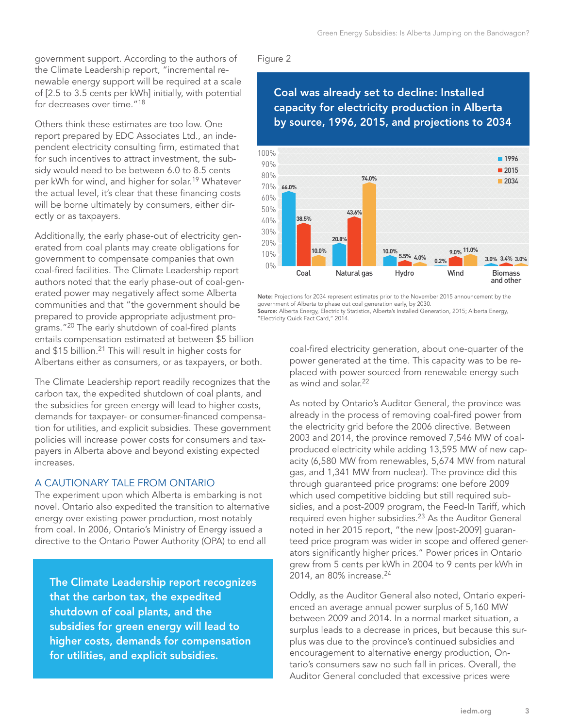government support. According to the authors of the Climate Leadership report, "incremental renewable energy support will be required at a scale of [2.5 to 3.5 cents per kWh] initially, with potential for decreases over time."<sup>18</sup>

Others think these estimates are too low. One report prepared by EDC Associates Ltd., an independent electricity consulting firm, estimated that for such incentives to attract investment, the subsidy would need to be between 6.0 to 8.5 cents per kWh for wind, and higher for solar.19 Whatever the actual level, it's clear that these financing costs will be borne ultimately by consumers, either directly or as taxpayers.

Additionally, the early phase-out of electricity generated from coal plants may create obligations for government to compensate companies that own coal-fired facilities. The Climate Leadership report authors noted that the early phase-out of coal-generated power may negatively affect some Alberta communities and that "the government should be prepared to provide appropriate adjustment programs."<sup>20</sup> The early shutdown of coal-fired plants entails compensation estimated at between \$5 billion and \$15 billion.<sup>21</sup> This will result in higher costs for Albertans either as consumers, or as taxpayers, or both.

The Climate Leadership report readily recognizes that the carbon tax, the expedited shutdown of coal plants, and the subsidies for green energy will lead to higher costs, demands for taxpayer- or consumer-financed compensation for utilities, and explicit subsidies. These government policies will increase power costs for consumers and taxpayers in Alberta above and beyond existing expected increases.

#### A CAUTIONARY TALE FROM ONTARIO

The experiment upon which Alberta is embarking is not novel. Ontario also expedited the transition to alternative energy over existing power production, most notably from coal. In 2006, Ontario's Ministry of Energy issued a directive to the Ontario Power Authority (OPA) to end all

**The Climate Leadership report recognizes that the carbon tax, the expedited shutdown of coal plants, and the subsidies for green energy will lead to higher costs, demands for compensation for utilities, and explicit subsidies.**

#### Figure 2

## **Coal was already set to decline: Installed capacity for electricity production in Alberta by source, 1996, 2015, and projections to 2034**



**Note:** Projections for 2034 represent estimates prior to the November 2015 announcement by the government of Alberta to phase out coal generation early, by 2030.

**Source:** Alberta Energy, Electricity Statistics, Alberta's Installed Generation, 2015; Alberta Energy, "Electricity Quick Fact Card," 2014.

> coal-fired electricity generation, about one-quarter of the power generated at the time. This capacity was to be replaced with power sourced from renewable energy such as wind and solar.<sup>22</sup>

As noted by Ontario's Auditor General, the province was already in the process of removing coal-fired power from the electricity grid before the 2006 directive. Between 2003 and 2014, the province removed 7,546 MW of coalproduced electricity while adding 13,595 MW of new capacity (6,580 MW from renewables, 5,674 MW from natural gas, and 1,341 MW from nuclear). The province did this through guaranteed price programs: one before 2009 which used competitive bidding but still required subsidies, and a post-2009 program, the Feed-In Tariff, which required even higher subsidies.23 As the Auditor General noted in her 2015 report, "the new [post-2009] guaranteed price program was wider in scope and offered generators significantly higher prices." Power prices in Ontario grew from 5 cents per kWh in 2004 to 9 cents per kWh in 2014, an 80% increase.<sup>24</sup>

Oddly, as the Auditor General also noted, Ontario experienced an average annual power surplus of 5,160 MW between 2009 and 2014. In a normal market situation, a surplus leads to a decrease in prices, but because this surplus was due to the province's continued subsidies and encouragement to alternative energy production, Ontario's consumers saw no such fall in prices. Overall, the Auditor General concluded that excessive prices were